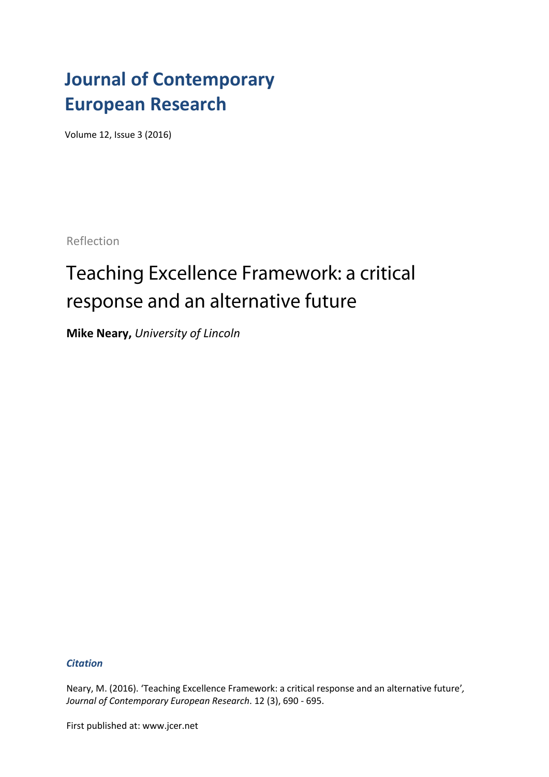## **Journal of Contemporary European Research**

Volume 12, Issue 3 (2016)

Reflection

## Teaching Excellence Framework: a critical response and an alternative future

**Mike Neary,** *University of Lincoln*

*Citation*

Neary, M. (2016). 'Teaching Excellence Framework: a critical response and an alternative future'*, Journal of Contemporary European Research*. 12 (3), 690 - 695.

First published at: www.jcer.net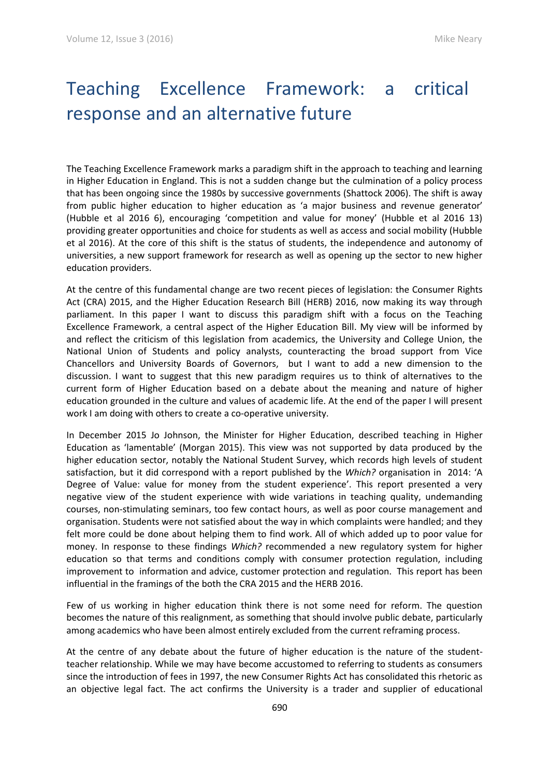## Teaching Excellence Framework: a critical response and an alternative future

The Teaching Excellence Framework marks a paradigm shift in the approach to teaching and learning in Higher Education in England. This is not a sudden change but the culmination of a policy process that has been ongoing since the 1980s by successive governments (Shattock 2006). The shift is away from public higher education to higher education as 'a major business and revenue generator' (Hubble et al 2016 6), encouraging 'competition and value for money' (Hubble et al 2016 13) providing greater opportunities and choice for students as well as access and social mobility (Hubble et al 2016). At the core of this shift is the status of students, the independence and autonomy of universities, a new support framework for research as well as opening up the sector to new higher education providers.

At the centre of this fundamental change are two recent pieces of legislation: the Consumer Rights Act (CRA) 2015, and the Higher Education Research Bill (HERB) 2016, now making its way through parliament. In this paper I want to discuss this paradigm shift with a focus on the Teaching Excellence Framework, a central aspect of the Higher Education Bill. My view will be informed by and reflect the criticism of this legislation from academics, the University and College Union, the National Union of Students and policy analysts, counteracting the broad support from Vice Chancellors and University Boards of Governors, but I want to add a new dimension to the discussion. I want to suggest that this new paradigm requires us to think of alternatives to the current form of Higher Education based on a debate about the meaning and nature of higher education grounded in the culture and values of academic life. At the end of the paper I will present work I am doing with others to create a co-operative university.

In December 2015 Jo Johnson, the Minister for Higher Education, described teaching in Higher Education as 'lamentable' (Morgan 2015). This view was not supported by data produced by the higher education sector, notably the National Student Survey, which records high levels of student satisfaction, but it did correspond with a report published by the *Which?* organisation in 2014: 'A Degree of Value: value for money from the student experience'. This report presented a very negative view of the student experience with wide variations in teaching quality, undemanding courses, non-stimulating seminars, too few contact hours, as well as poor course management and organisation. Students were not satisfied about the way in which complaints were handled; and they felt more could be done about helping them to find work. All of which added up to poor value for money. In response to these findings *Which?* recommended a new regulatory system for higher education so that terms and conditions comply with consumer protection regulation, including improvement to information and advice, customer protection and regulation. This report has been influential in the framings of the both the CRA 2015 and the HERB 2016.

Few of us working in higher education think there is not some need for reform. The question becomes the nature of this realignment, as something that should involve public debate, particularly among academics who have been almost entirely excluded from the current reframing process.

At the centre of any debate about the future of higher education is the nature of the studentteacher relationship. While we may have become accustomed to referring to students as consumers since the introduction of fees in 1997, the new Consumer Rights Act has consolidated this rhetoric as an objective legal fact. The act confirms the University is a trader and supplier of educational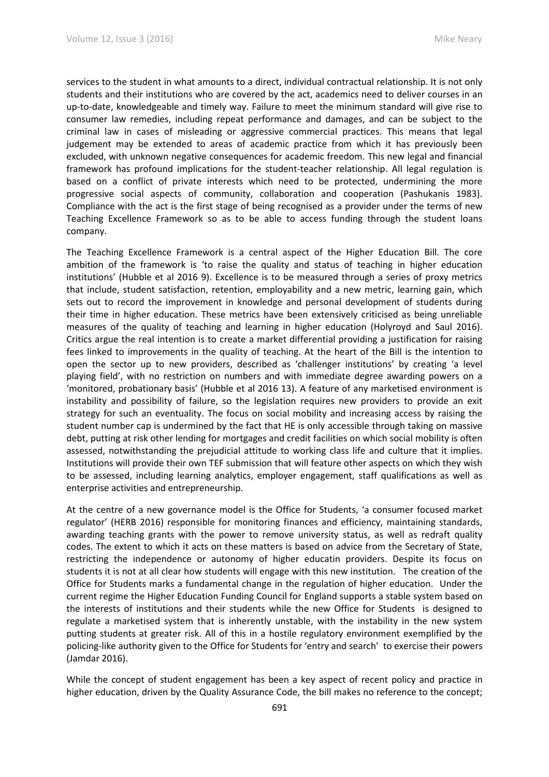services to the student in what amounts to a direct, individual contractual relationship. It is not only students and their institutions who are covered by the act, academics need to deliver courses in an up-to-date, knowledgeable and timely way. Failure to meet the minimum standard will give rise to consumer law remedies, including repeat performance and damages, and can be subject to the criminal law in cases of misleading or aggressive commercial practices. This means that legal judgement may be extended to areas of academic practice from which it has previously been excluded, with unknown negative consequences for academic freedom. This new legal and financial framework has profound implications for the student-teacher relationship. All legal regulation is based on a conflict of private interests which need to be protected, undermining the more progressive social aspects of community, collaboration and cooperation (Pashukanis 1983). Compliance with the act is the first stage of being recognised as a provider under the terms of new Teaching Excellence Framework so as to be able to access funding through the student loans company.

The Teaching Excellence Framework is a central aspect of the Higher Education Bill. The core ambition of the framework is 'to raise the quality and status of teaching in higher education institutions' (Hubble et al 2016 9). Excellence is to be measured through a series of proxy metrics that include, student satisfaction, retention, employability and a new metric, learning gain, which sets out to record the improvement in knowledge and personal development of students during their time in higher education. These metrics have been extensively criticised as being unreliable measures of the quality of teaching and learning in higher education (Holyroyd and Saul 2016). Critics argue the real intention is to create a market differential providing a justification for raising fees linked to improvements in the quality of teaching. At the heart of the Bill is the intention to open the sector up to new providers, described as 'challenger institutions' by creating 'a level playing field', with no restriction on numbers and with immediate degree awarding powers on a 'monitored, probationary basis' (Hubble et al 2016 13). A feature of any marketised environment is instability and possibility of failure, so the legislation requires new providers to provide an exit strategy for such an eventuality. The focus on social mobility and increasing access by raising the student number cap is undermined by the fact that HE is only accessible through taking on massive debt, putting at risk other lending for mortgages and credit facilities on which social mobility is often assessed, notwithstanding the prejudicial attitude to working class life and culture that it implies. Institutions will provide their own TEF submission that will feature other aspects on which they wish to be assessed, including learning analytics, employer engagement, staff qualifications as well as enterprise activities and entrepreneurship.

At the centre of a new governance model is the Office for Students, 'a consumer focused market regulator' (HERB 2016) responsible for monitoring finances and efficiency, maintaining standards, awarding teaching grants with the power to remove university status, as well as redraft quality codes. The extent to which it acts on these matters is based on advice from the Secretary of State, restricting the independence or autonomy of higher educatin providers. Despite its focus on students it is not at all clear how students will engage with this new institution. The creation of the Office for Students marks a fundamental change in the regulation of higher education. Under the current regime the Higher Education Funding Council for England supports a stable system based on the interests of institutions and their students while the new Office for Students is designed to regulate a marketised system that is inherently unstable, with the instability in the new system putting students at greater risk. All of this in a hostile regulatory environment exemplified by the policing-like authority given to the Office for Students for 'entry and search' to exercise their powers (Jamdar 2016).

While the concept of student engagement has been a key aspect of recent policy and practice in higher education, driven by the Quality Assurance Code, the bill makes no reference to the concept;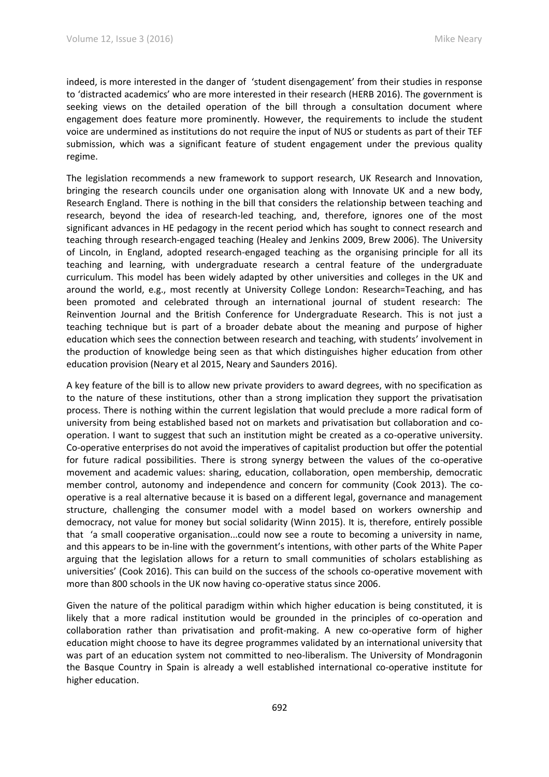indeed, is more interested in the danger of 'student disengagement' from their studies in response to 'distracted academics' who are more interested in their research (HERB 2016). The government is seeking views on the detailed operation of the bill through a consultation document where engagement does feature more prominently. However, the requirements to include the student voice are undermined as institutions do not require the input of NUS or students as part of their TEF submission, which was a significant feature of student engagement under the previous quality regime.

The legislation recommends a new framework to support research, UK Research and Innovation, bringing the research councils under one organisation along with Innovate UK and a new body, Research England. There is nothing in the bill that considers the relationship between teaching and research, beyond the idea of research-led teaching, and, therefore, ignores one of the most significant advances in HE pedagogy in the recent period which has sought to connect research and teaching through research-engaged teaching (Healey and Jenkins 2009, Brew 2006). The University of Lincoln, in England, adopted research-engaged teaching as the organising principle for all its teaching and learning, with undergraduate research a central feature of the undergraduate curriculum. This model has been widely adapted by other universities and colleges in the UK and around the world, e.g., most recently at University College London: Research=Teaching, and has been promoted and celebrated through an international journal of student research: The Reinvention Journal and the British Conference for Undergraduate Research. This is not just a teaching technique but is part of a broader debate about the meaning and purpose of higher education which sees the connection between research and teaching, with students' involvement in the production of knowledge being seen as that which distinguishes higher education from other education provision (Neary et al 2015, Neary and Saunders 2016).

A key feature of the bill is to allow new private providers to award degrees, with no specification as to the nature of these institutions, other than a strong implication they support the privatisation process. There is nothing within the current legislation that would preclude a more radical form of university from being established based not on markets and privatisation but collaboration and cooperation. I want to suggest that such an institution might be created as a co-operative university. Co-operative enterprises do not avoid the imperatives of capitalist production but offer the potential for future radical possibilities. There is strong synergy between the values of the co-operative movement and academic values: sharing, education, collaboration, open membership, democratic member control, autonomy and independence and concern for community (Cook 2013). The cooperative is a real alternative because it is based on a different legal, governance and management structure, challenging the consumer model with a model based on workers ownership and democracy, not value for money but social solidarity (Winn 2015). It is, therefore, entirely possible that 'a small cooperative organisation...could now see a route to becoming a university in name, and this appears to be in-line with the government's intentions, with other parts of the White Paper arguing that the legislation allows for a return to small communities of scholars establishing as universities' (Cook 2016). This can build on the success of the schools co-operative movement with more than 800 schools in the UK now having co-operative status since 2006.

Given the nature of the political paradigm within which higher education is being constituted, it is likely that a more radical institution would be grounded in the principles of co-operation and collaboration rather than privatisation and profit-making. A new co-operative form of higher education might choose to have its degree programmes validated by an international university that was part of an education system not committed to neo-liberalism. The University of Mondragonin the Basque Country in Spain is already a well established international co-operative institute for higher education.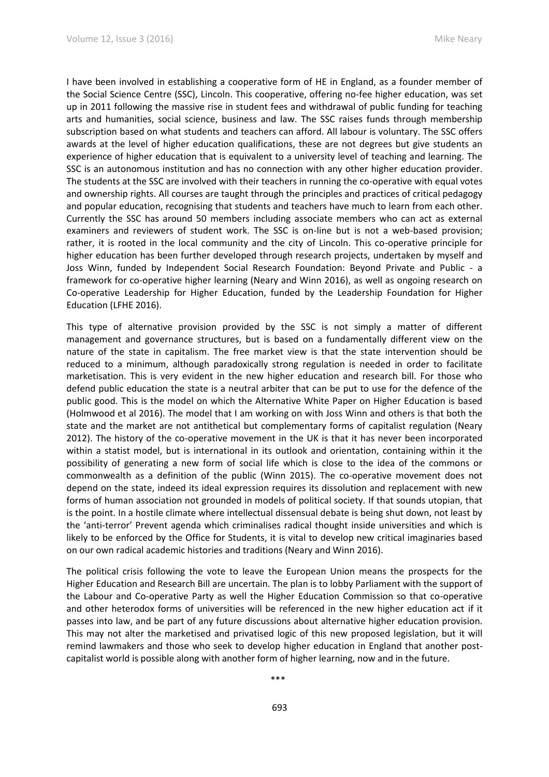I have been involved in establishing a cooperative form of HE in England, as a founder member of the Social Science Centre (SSC), Lincoln. This cooperative, offering no-fee higher education, was set up in 2011 following the massive rise in student fees and withdrawal of public funding for teaching arts and humanities, social science, business and law. The SSC raises funds through membership subscription based on what students and teachers can afford. All labour is voluntary. The SSC offers awards at the level of higher education qualifications, these are not degrees but give students an experience of higher education that is equivalent to a university level of teaching and learning. The SSC is an autonomous institution and has no connection with any other higher education provider. The students at the SSC are involved with their teachers in running the co-operative with equal votes and ownership rights. All courses are taught through the principles and practices of critical pedagogy and popular education, recognising that students and teachers have much to learn from each other. Currently the SSC has around 50 members including associate members who can act as external examiners and reviewers of student work. The SSC is on-line but is not a web-based provision; rather, it is rooted in the local community and the city of Lincoln. This co-operative principle for higher education has been further developed through research projects, undertaken by myself and Joss Winn, funded by Independent Social Research Foundation: Beyond Private and Public - a framework for co-operative higher learning (Neary and Winn 2016), as well as ongoing research on Co-operative Leadership for Higher Education, funded by the Leadership Foundation for Higher Education (LFHE 2016).

This type of alternative provision provided by the SSC is not simply a matter of different management and governance structures, but is based on a fundamentally different view on the nature of the state in capitalism. The free market view is that the state intervention should be reduced to a minimum, although paradoxically strong regulation is needed in order to facilitate marketisation. This is very evident in the new higher education and research bill. For those who defend public education the state is a neutral arbiter that can be put to use for the defence of the public good. This is the model on which the Alternative White Paper on Higher Education is based (Holmwood et al 2016). The model that I am working on with Joss Winn and others is that both the state and the market are not antithetical but complementary forms of capitalist regulation (Neary 2012). The history of the co-operative movement in the UK is that it has never been incorporated within a statist model, but is international in its outlook and orientation, containing within it the possibility of generating a new form of social life which is close to the idea of the commons or commonwealth as a definition of the public (Winn 2015). The co-operative movement does not depend on the state, indeed its ideal expression requires its dissolution and replacement with new forms of human association not grounded in models of political society. If that sounds utopian, that is the point. In a hostile climate where intellectual dissensual debate is being shut down, not least by the 'anti-terror' Prevent agenda which criminalises radical thought inside universities and which is likely to be enforced by the Office for Students, it is vital to develop new critical imaginaries based on our own radical academic histories and traditions (Neary and Winn 2016).

The political crisis following the vote to leave the European Union means the prospects for the Higher Education and Research Bill are uncertain. The plan is to lobby Parliament with the support of the Labour and Co-operative Party as well the Higher Education Commission so that co-operative and other heterodox forms of universities will be referenced in the new higher education act if it passes into law, and be part of any future discussions about alternative higher education provision. This may not alter the marketised and privatised logic of this new proposed legislation, but it will remind lawmakers and those who seek to develop higher education in England that another postcapitalist world is possible along with another form of higher learning, now and in the future.

\*\*\*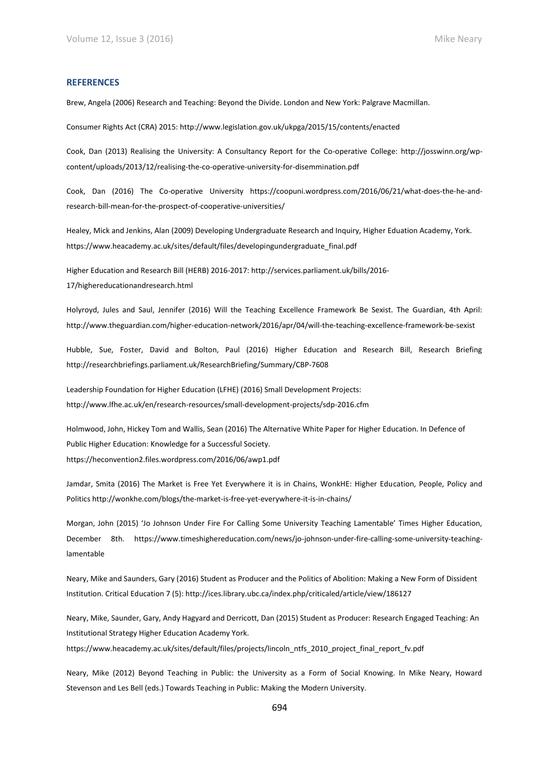## **REFERENCES**

Brew, Angela (2006) Research and Teaching: Beyond the Divide. London and New York: Palgrave Macmillan.

Consumer Rights Act (CRA) 2015: http://www.legislation.gov.uk/ukpga/2015/15/contents/enacted

Cook, Dan (2013) Realising the University: A Consultancy Report for the Co-operative College: http://josswinn.org/wpcontent/uploads/2013/12/realising-the-co-operative-university-for-disemmination.pdf

Cook, Dan (2016) The Co-operative University https://coopuni.wordpress.com/2016/06/21/what-does-the-he-andresearch-bill-mean-for-the-prospect-of-cooperative-universities/

Healey, Mick and Jenkins, Alan (2009) Developing Undergraduate Research and Inquiry, Higher Eduation Academy, York. https://www.heacademy.ac.uk/sites/default/files/developingundergraduate\_final.pdf

Higher Education and Research Bill (HERB) 2016-2017: http://services.parliament.uk/bills/2016- 17/highereducationandresearch.html

Holyroyd, Jules and Saul, Jennifer (2016) Will the Teaching Excellence Framework Be Sexist. The Guardian, 4th April: http://www.theguardian.com/higher-education-network/2016/apr/04/will-the-teaching-excellence-framework-be-sexist

Hubble, Sue, Foster, David and Bolton, Paul (2016) Higher Education and Research Bill, Research Briefing http://researchbriefings.parliament.uk/ResearchBriefing/Summary/CBP-7608

Leadership Foundation for Higher Education (LFHE) (2016) Small Development Projects: http://www.lfhe.ac.uk/en/research-resources/small-development-projects/sdp-2016.cfm

Holmwood, John, Hickey Tom and Wallis, Sean (2016) The Alternative White Paper for Higher Education. In Defence of Public Higher Education: Knowledge for a Successful Society. https://heconvention2.files.wordpress.com/2016/06/awp1.pdf

Jamdar, Smita (2016) The Market is Free Yet Everywhere it is in Chains, WonkHE: Higher Education, People, Policy and Politics http://wonkhe.com/blogs/the-market-is-free-yet-everywhere-it-is-in-chains/

Morgan, John (2015) 'Jo Johnson Under Fire For Calling Some University Teaching Lamentable' Times Higher Education, December 8th. https://www.timeshighereducation.com/news/jo-johnson-under-fire-calling-some-university-teachinglamentable

Neary, Mike and Saunders, Gary (2016) Student as Producer and the Politics of Abolition: Making a New Form of Dissident Institution. Critical Education 7 (5): http://ices.library.ubc.ca/index.php/criticaled/article/view/186127

Neary, Mike, Saunder, Gary, Andy Hagyard and Derricott, Dan (2015) Student as Producer: Research Engaged Teaching: An Institutional Strategy Higher Education Academy York.

https://www.heacademy.ac.uk/sites/default/files/projects/lincoln\_ntfs\_2010\_project\_final\_report\_fv.pdf

Neary, Mike (2012) Beyond Teaching in Public: the University as a Form of Social Knowing. In Mike Neary, Howard Stevenson and Les Bell (eds.) Towards Teaching in Public: Making the Modern University.